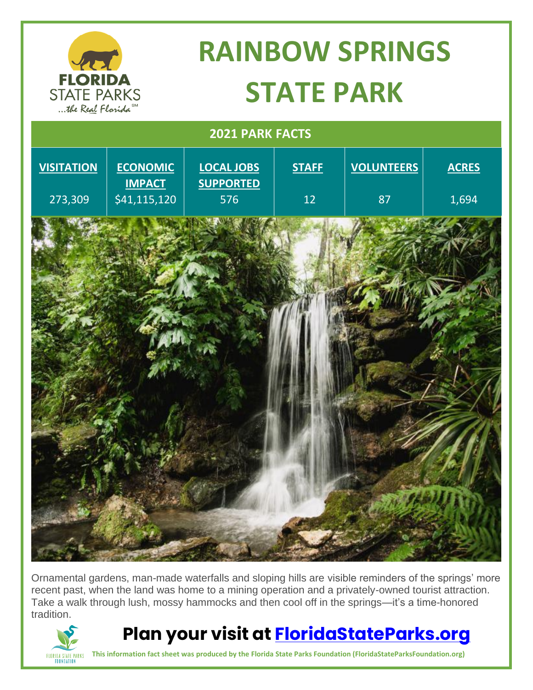

Ornamental gardens, man-made waterfalls and sloping hills are visible reminders of the springs' more recent past, when the land was home to a mining operation and a privately-owned tourist attraction. Take a walk through lush, mossy hammocks and then cool off in the springs—it's a time-honored tradition.



**Plan your visit at [FloridaStateParks.org](http://www.floridastateparks.org/)**

**This information fact sheet was produced by the Florida State Parks Foundation (FloridaStateParksFoundation.org)**